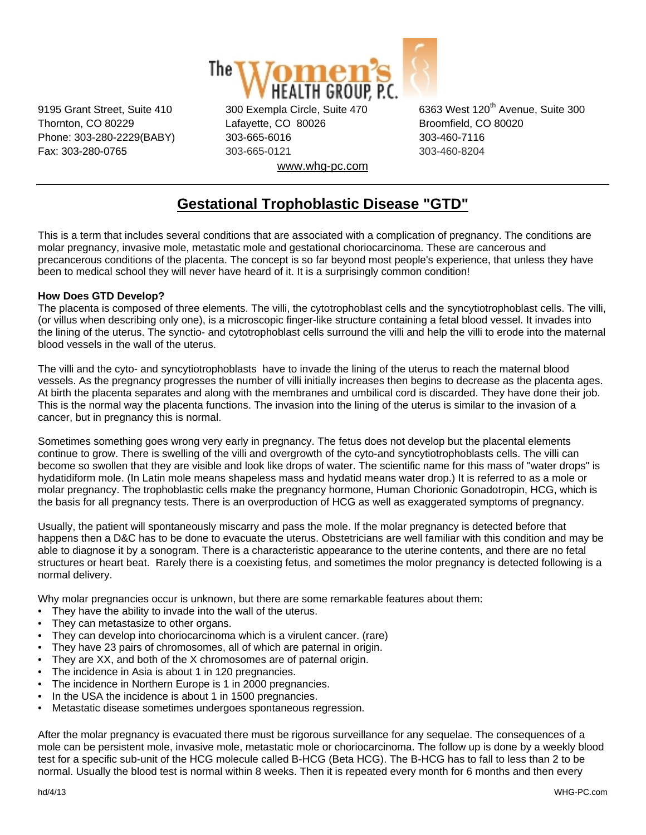

Thornton, CO 80229 Lafayette, CO 80026 Broomfield, CO 80020 Phone: 303-280-2229(BABY) 303-665-6016 303-460-7116 Fax: 303-280-0765 303-665-0121 303-460-8204 www.whg-pc.com

9195 Grant Street, Suite 410 300 Exempla Circle, Suite 470 6363 West 120<sup>th</sup> Avenue, Suite 300

## **Gestational Trophoblastic Disease "GTD"**

This is a term that includes several conditions that are associated with a complication of pregnancy. The conditions are molar pregnancy, invasive mole, metastatic mole and gestational choriocarcinoma. These are cancerous and precancerous conditions of the placenta. The concept is so far beyond most people's experience, that unless they have been to medical school they will never have heard of it. It is a surprisingly common condition!

## **How Does GTD Develop?**

The placenta is composed of three elements. The villi, the cytotrophoblast cells and the syncytiotrophoblast cells. The villi, (or villus when describing only one), is a microscopic finger-like structure containing a fetal blood vessel. It invades into the lining of the uterus. The synctio- and cytotrophoblast cells surround the villi and help the villi to erode into the maternal blood vessels in the wall of the uterus.

The villi and the cyto- and syncytiotrophoblasts have to invade the lining of the uterus to reach the maternal blood vessels. As the pregnancy progresses the number of villi initially increases then begins to decrease as the placenta ages. At birth the placenta separates and along with the membranes and umbilical cord is discarded. They have done their job. This is the normal way the placenta functions. The invasion into the lining of the uterus is similar to the invasion of a cancer, but in pregnancy this is normal.

Sometimes something goes wrong very early in pregnancy. The fetus does not develop but the placental elements continue to grow. There is swelling of the villi and overgrowth of the cyto-and syncytiotrophoblasts cells. The villi can become so swollen that they are visible and look like drops of water. The scientific name for this mass of "water drops" is hydatidiform mole. (In Latin mole means shapeless mass and hydatid means water drop.) It is referred to as a mole or molar pregnancy. The trophoblastic cells make the pregnancy hormone, Human Chorionic Gonadotropin, HCG, which is the basis for all pregnancy tests. There is an overproduction of HCG as well as exaggerated symptoms of pregnancy.

Usually, the patient will spontaneously miscarry and pass the mole. If the molar pregnancy is detected before that happens then a D&C has to be done to evacuate the uterus. Obstetricians are well familiar with this condition and may be able to diagnose it by a sonogram. There is a characteristic appearance to the uterine contents, and there are no fetal structures or heart beat. Rarely there is a coexisting fetus, and sometimes the molor pregnancy is detected following is a normal delivery.

Why molar pregnancies occur is unknown, but there are some remarkable features about them:

- They have the ability to invade into the wall of the uterus.
- They can metastasize to other organs.
- They can develop into choriocarcinoma which is a virulent cancer. (rare)
- They have 23 pairs of chromosomes, all of which are paternal in origin.
- They are XX, and both of the X chromosomes are of paternal origin.
- The incidence in Asia is about 1 in 120 pregnancies.
- The incidence in Northern Europe is 1 in 2000 pregnancies.
- In the USA the incidence is about 1 in 1500 pregnancies.
- Metastatic disease sometimes undergoes spontaneous regression.

After the molar pregnancy is evacuated there must be rigorous surveillance for any sequelae. The consequences of a mole can be persistent mole, invasive mole, metastatic mole or choriocarcinoma. The follow up is done by a weekly blood test for a specific sub-unit of the HCG molecule called B-HCG (Beta HCG). The B-HCG has to fall to less than 2 to be normal. Usually the blood test is normal within 8 weeks. Then it is repeated every month for 6 months and then every